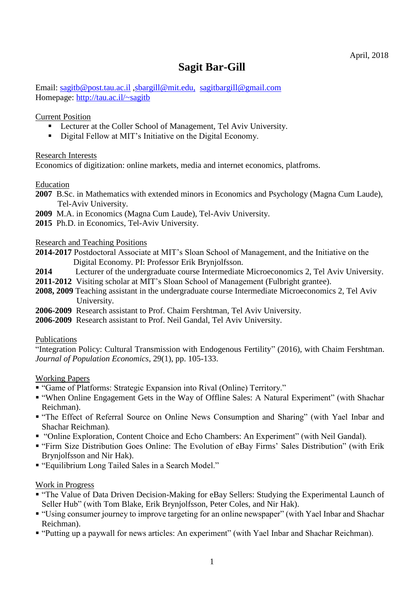## **Sagit Bar-Gill**

Email: [sagitb@post.tau.ac.il](mailto:sagitb@post.tau.ac.il) [,sbargill@mit.edu,](mailto:sbargill@mit.edu) [sagitbargill@gmail.com](mailto:sagitbargill@gmail.com) Homepage: http://tau.ac.il/~sagitb

Current Position

- **EXECUTE:** Lecturer at the Coller School of Management, Tel Aviv University.
- Digital Fellow at MIT's Initiative on the Digital Economy.

Research Interests

Economics of digitization: online markets, media and internet economics, platfroms.

Education

- **2007** B.Sc. in Mathematics with extended minors in Economics and Psychology (Magna Cum Laude), Tel-Aviv University.
- **2009** M.A. in Economics (Magna Cum Laude), Tel-Aviv University.

**2015** Ph.D. in Economics, Tel-Aviv University.

Research and Teaching Positions

- **2014-2017** Postdoctoral Associate at MIT's Sloan School of Management, and the Initiative on the Digital Economy. PI: Professor Erik Brynjolfsson.
- **2014** Lecturer of the undergraduate course Intermediate Microeconomics 2, Tel Aviv University.
- **2011-2012** Visiting scholar at MIT's Sloan School of Management (Fulbright grantee).
- **2008, 2009** Teaching assistant in the undergraduate course Intermediate Microeconomics 2, Tel Aviv University.
- **2006-2009** Research assistant to Prof. Chaim Fershtman, Tel Aviv University.
- **2006-2009** Research assistant to Prof. Neil Gandal, Tel Aviv University.

## Publications

"Integration Policy: Cultural Transmission with Endogenous Fertility" (2016), with Chaim Fershtman. *Journal of Population Economics*, 29(1), pp. 105-133.

Working Papers

- "Game of Platforms: Strategic Expansion into Rival (Online) Territory."
- "When Online Engagement Gets in the Way of Offline Sales: A Natural Experiment" (with Shachar Reichman).
- "The Effect of Referral Source on Online News Consumption and Sharing" (with Yael Inbar and Shachar Reichman)*.*
- "Online Exploration, Content Choice and Echo Chambers: An Experiment" (with Neil Gandal)*.*
- "Firm Size Distribution Goes Online: The Evolution of eBay Firms' Sales Distribution" (with Erik Brynjolfsson and Nir Hak).
- "Equilibrium Long Tailed Sales in a Search Model."

Work in Progress

- "The Value of Data Driven Decision-Making for eBay Sellers: Studying the Experimental Launch of Seller Hub" (with Tom Blake, Erik Brynjolfsson, Peter Coles, and Nir Hak).
- "Using consumer journey to improve targeting for an online newspaper" (with Yael Inbar and Shachar Reichman).
- "Putting up a paywall for news articles: An experiment" (with Yael Inbar and Shachar Reichman).